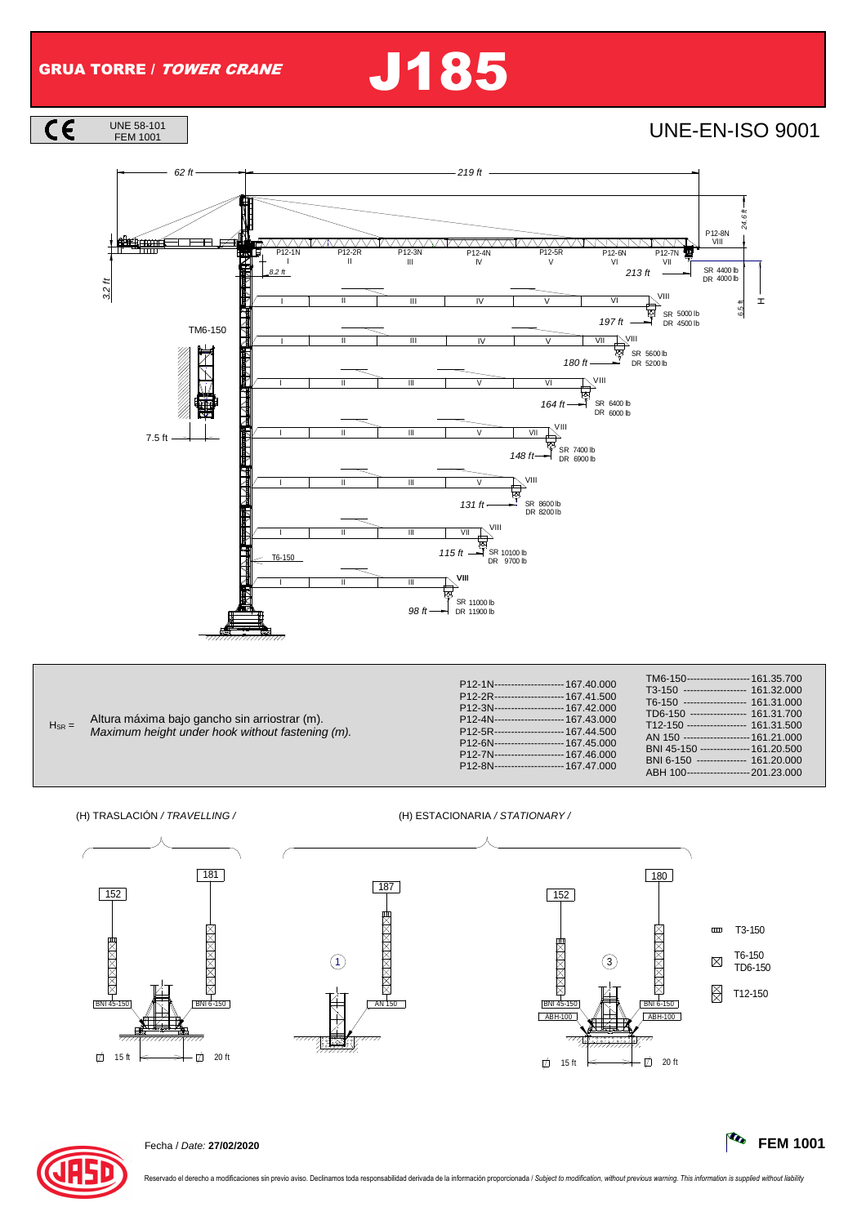$\overline{\mathsf{CE}}$ 

## GRUA TORRE / TOWER CRANE J185

UNE-EN-ISO 9001



| $H_{SR} =$ | Altura máxima bajo gancho sin arriostrar (m).<br>Maximum height under hook without fastening (m). | P12-1N--------------------- 167.40.000<br>P12-2R--------------------- 167.41.500<br>P12-3N--------------------- 167.42.000<br>P12-4N--------------------- 167.43.000<br>P12-5R---------------------- 167 44 500<br>P12-6N---------------------- 167.45.000<br>P12-7N--------------------- 167.46.000<br>P12-8N--------------------- 167.47.000 | TM6-150------------------- 161.35.700<br>T3-150 ------------------ 161.32.000<br>T6-150 ------------------ 161.31.000<br>TD6-150 ---------------- 161.31.700<br>T12-150 ----------------- 161.31.500<br>AN 150 ------------------- 161.21.000<br>BNI 45-150 -------------- 161.20.500<br>BNI 6-150 -------------- 161.20.000<br>$\lambda$ DII $\lambda$ OO<br>0.010000 |
|------------|---------------------------------------------------------------------------------------------------|------------------------------------------------------------------------------------------------------------------------------------------------------------------------------------------------------------------------------------------------------------------------------------------------------------------------------------------------|------------------------------------------------------------------------------------------------------------------------------------------------------------------------------------------------------------------------------------------------------------------------------------------------------------------------------------------------------------------------|
|------------|---------------------------------------------------------------------------------------------------|------------------------------------------------------------------------------------------------------------------------------------------------------------------------------------------------------------------------------------------------------------------------------------------------------------------------------------------------|------------------------------------------------------------------------------------------------------------------------------------------------------------------------------------------------------------------------------------------------------------------------------------------------------------------------------------------------------------------------|

(H) TRASLACIÓN / TRAVELLING / (H) ESTACIONARIA / STATIONARY /



187

AN 150

77777

אי איי האינויין<br>א<del>יירוללי</del>וי

180  $\sqrt{152}$  $\overline{mn}$ T3-150 **ANANANAN**  $\frac{B}{45}$  + XXXXXXXX T6-150  $\boxtimes$ 1 3 TD6-150 图 T12-150  $NIR - 150$  $ABH-100$ ABH-100  $\frac{1}{2}, \frac{1}{2}, \frac{1}{2}, \frac{1}{2}, \frac{1}{2}$  $-\Box$  20 ft

ABH 100 ------------------- 201.23.000



Fecha / Date: **27/02/2020 FEM 1001**

ado el derecho a modificaciones sin previo aviso. Declinamos toda responsabilidad derivada de la información proporcionada / Subject to modification, without previous warning. This information is supplied without liability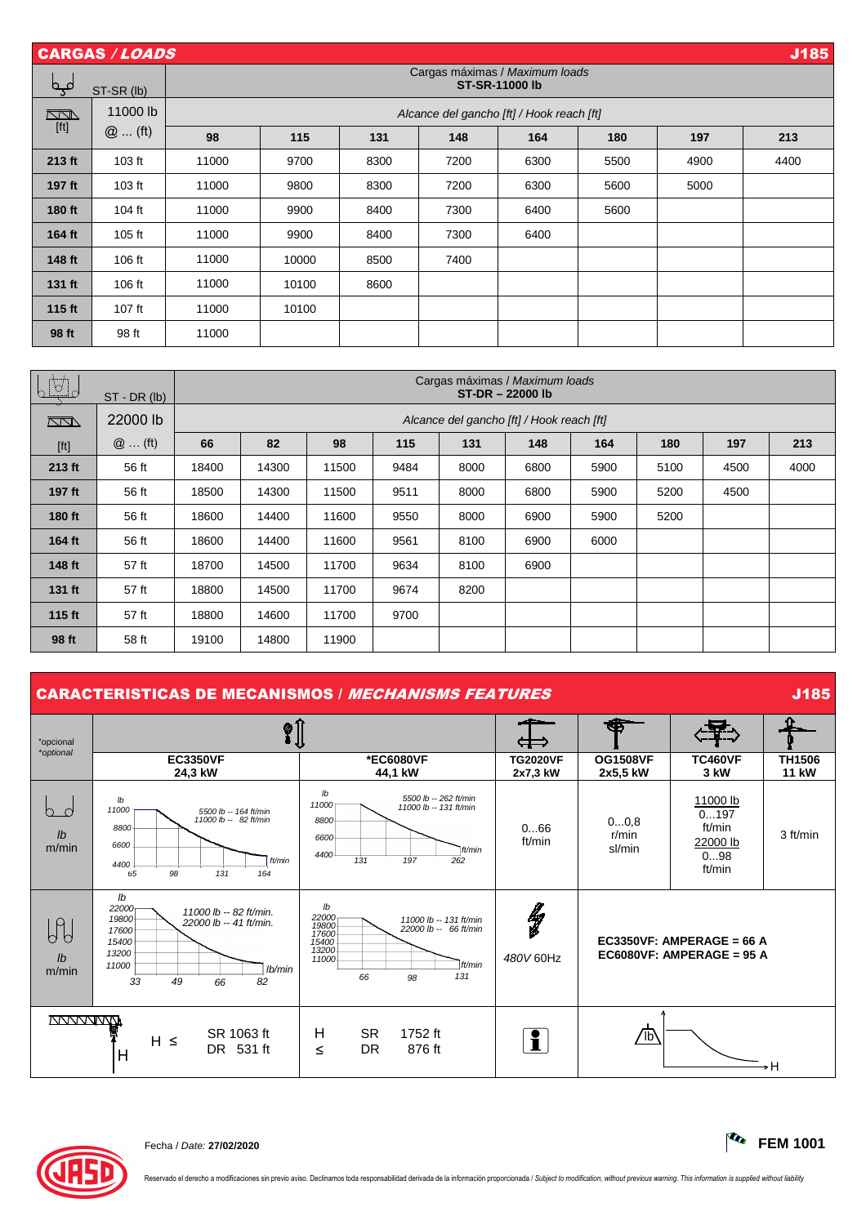|        | J185<br><b>CARGAS / LOADS</b> |                                           |                                                         |      |      |      |      |      |      |  |  |
|--------|-------------------------------|-------------------------------------------|---------------------------------------------------------|------|------|------|------|------|------|--|--|
| مہم    | ST-SR (lb)                    |                                           | Cargas máximas / Maximum loads<br><b>ST-SR-11000 lb</b> |      |      |      |      |      |      |  |  |
| $\Box$ | 11000 lb                      | Alcance del gancho [ft] / Hook reach [ft] |                                                         |      |      |      |      |      |      |  |  |
| $[ft]$ | $@$ (ft)                      | 98                                        | 115                                                     | 131  | 148  | 164  | 180  | 197  | 213  |  |  |
| 213 ft | 103 ft                        | 11000                                     | 9700                                                    | 8300 | 7200 | 6300 | 5500 | 4900 | 4400 |  |  |
| 197 ft | 103 ft                        | 11000                                     | 9800                                                    | 8300 | 7200 | 6300 | 5600 | 5000 |      |  |  |
| 180 ft | 104 ft                        | 11000                                     | 9900                                                    | 8400 | 7300 | 6400 | 5600 |      |      |  |  |
| 164 ft | 105 ft                        | 11000                                     | 9900                                                    | 8400 | 7300 | 6400 |      |      |      |  |  |
| 148 ft | $106$ ft                      | 11000                                     | 10000                                                   | 8500 | 7400 |      |      |      |      |  |  |
| 131 ft | 106 ft                        | 11000                                     | 10100                                                   | 8600 |      |      |      |      |      |  |  |
| 115 ft | $107$ ft                      | 11000                                     | 10100                                                   |      |      |      |      |      |      |  |  |
| 98 ft  | 98 ft                         | 11000                                     |                                                         |      |      |      |      |      |      |  |  |

| <u>LUJ</u>                                                                                                                                                                                                            | $ST - DR (lb)$ |       | Cargas máximas / Maximum loads<br>ST-DR-22000 lb |       |      |      |      |      |      |      |      |
|-----------------------------------------------------------------------------------------------------------------------------------------------------------------------------------------------------------------------|----------------|-------|--------------------------------------------------|-------|------|------|------|------|------|------|------|
| $\sqrt{2}$                                                                                                                                                                                                            | 22000 lb       |       | Alcance del gancho [ft] / Hook reach [ft]        |       |      |      |      |      |      |      |      |
| $[ft] % \begin{center} % \includegraphics[width=\linewidth]{imagesSupplemental_3.png} % \end{center} % \caption { % Our method is used for the method. % The method is used in the text. % } % \label{fig:example} %$ | $@$ (ft)       | 66    | 82                                               | 98    | 115  | 131  | 148  | 164  | 180  | 197  | 213  |
| 213 ft                                                                                                                                                                                                                | 56 ft          | 18400 | 14300                                            | 11500 | 9484 | 8000 | 6800 | 5900 | 5100 | 4500 | 4000 |
| 197 ft                                                                                                                                                                                                                | 56 ft          | 18500 | 14300                                            | 11500 | 9511 | 8000 | 6800 | 5900 | 5200 | 4500 |      |
| 180 ft                                                                                                                                                                                                                | 56 ft          | 18600 | 14400                                            | 11600 | 9550 | 8000 | 6900 | 5900 | 5200 |      |      |
| 164 ft                                                                                                                                                                                                                | 56 ft          | 18600 | 14400                                            | 11600 | 9561 | 8100 | 6900 | 6000 |      |      |      |
| 148 ft                                                                                                                                                                                                                | 57 ft          | 18700 | 14500                                            | 11700 | 9634 | 8100 | 6900 |      |      |      |      |
| 131 ft                                                                                                                                                                                                                | 57 ft          | 18800 | 14500                                            | 11700 | 9674 | 8200 |      |      |      |      |      |
| 115 ft                                                                                                                                                                                                                | 57 ft          | 18800 | 14600                                            | 11700 | 9700 |      |      |      |      |      |      |
| 98 ft                                                                                                                                                                                                                 | 58 ft          | 19100 | 14800                                            | 11900 |      |      |      |      |      |      |      |

## CARACTERISTICAS DE MECANISMOS / *MECHANISMS FEATURES* JOSEPH 20185

| *opcional<br>*optional            |                                                                                                                                                                        |                                                                                                                                          |                             |                                                                                                                                                                                                                 |                               |          |
|-----------------------------------|------------------------------------------------------------------------------------------------------------------------------------------------------------------------|------------------------------------------------------------------------------------------------------------------------------------------|-----------------------------|-----------------------------------------------------------------------------------------------------------------------------------------------------------------------------------------------------------------|-------------------------------|----------|
|                                   | <b>EC3350VF</b><br>24,3 kW                                                                                                                                             | *EC6080VF<br>44,1 kW                                                                                                                     | <b>TG2020VF</b><br>2x7,3 kW | <b>TC460VF</b><br><b>OG1508VF</b><br>3 kW<br>2x5,5 kW<br>11000 lb<br>0197<br>00,8<br>ft/min<br>r/min<br>22000 lb<br>sl/min<br>098<br>ft/min<br>EC3350VF: AMPERAGE = 66 A<br>EC6080VF: AMPERAGE = $95$ A<br>∕115 | <b>TH1506</b><br><b>11 kW</b> |          |
| $\cap$<br>$\mathbf{I}$<br>m/min   | $\mathsf{I} \mathsf{b}$<br>11000<br>5500 lb -- 164 ft/min<br>11000 lb -- 82 ft/min<br>8800<br>6600<br>ft/min<br>4400<br>98<br>131<br>65<br>164                         | lb<br>5500 lb -- 262 ft/min<br>11000<br>11000 lb -- 131 ft/min<br>8800<br>6600<br>ft/min<br>4400<br>131<br>197<br>262                    | 066<br>ft/min               |                                                                                                                                                                                                                 |                               | 3 ft/min |
| $\theta$<br>$\mathbf{I}$<br>m/min | $\mathsf{lb}$<br>22000 <sub>r</sub><br>11000 lb -- 82 ft/min.<br>19800<br>22000 lb -- 41 ft/min.<br>17600<br>15400<br>13200<br>11000<br>lb/min<br>33<br>82<br>49<br>66 | lb<br>22000<br>11000 lb -- 131 ft/min<br>19800<br>22000 lb -- 66 ft/min<br>17600<br>15400<br>13200<br>11000<br>ft/min<br>131<br>66<br>98 | ly<br>V<br>480V 60Hz        |                                                                                                                                                                                                                 |                               |          |
| <u>TVVVVVVVVMA</u>                | SR 1063 ft<br>$H \leq$<br>DR 531 ft<br>Н                                                                                                                               | Н<br><b>SR</b><br>1752 ft<br><b>DR</b><br>876 ft<br>≤                                                                                    | i                           |                                                                                                                                                                                                                 |                               | →H       |



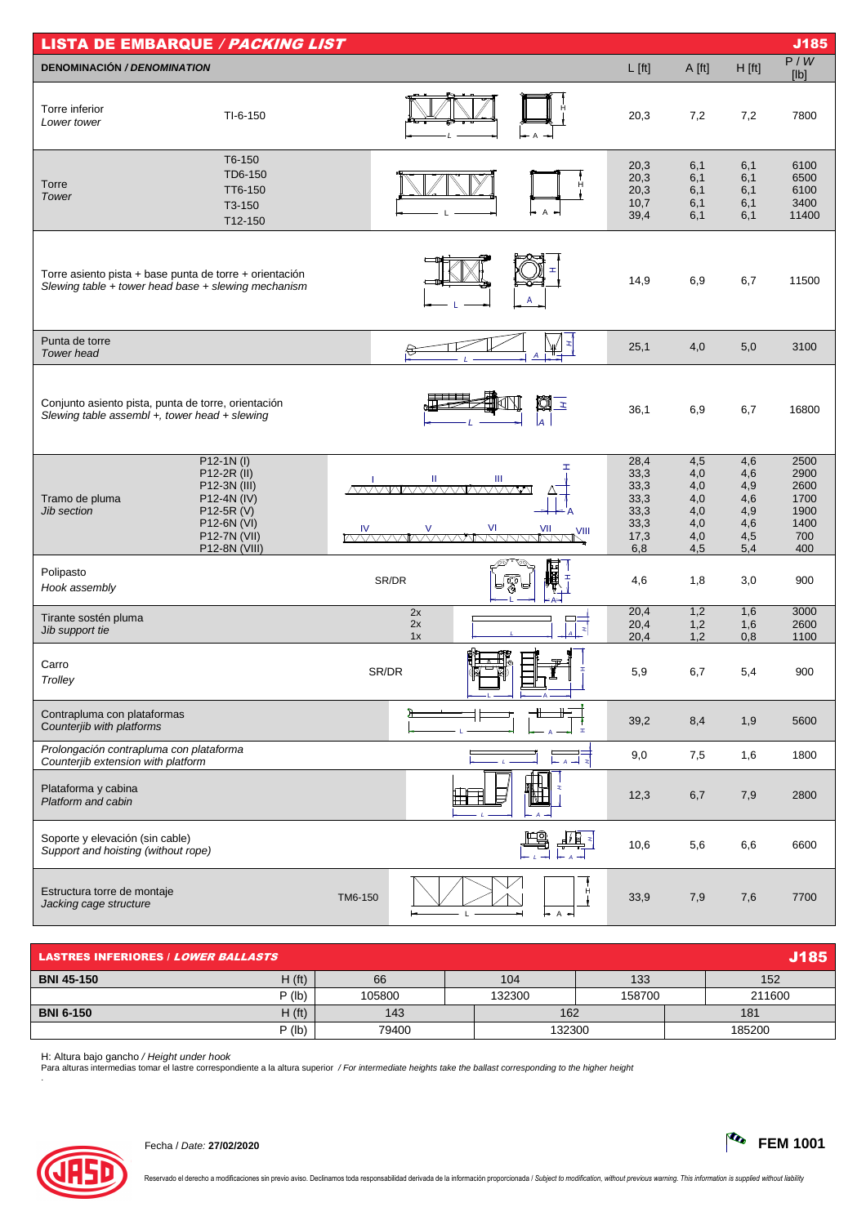| <b>LISTA DE EMBARQUE / PACKING LIST</b><br>J185                                                                |                                                                                                                         |                                                                             |                                                                  |                                                      |                                                      |                                                            |  |  |
|----------------------------------------------------------------------------------------------------------------|-------------------------------------------------------------------------------------------------------------------------|-----------------------------------------------------------------------------|------------------------------------------------------------------|------------------------------------------------------|------------------------------------------------------|------------------------------------------------------------|--|--|
| <b>DENOMINACIÓN / DENOMINATION</b>                                                                             |                                                                                                                         |                                                                             | $L$ [ft]                                                         | A [ft]                                               | $H$ [ft]                                             | P/W<br>[lb]                                                |  |  |
| Torre inferior<br>Lower tower                                                                                  | $TI-6-150$                                                                                                              | A                                                                           | 20,3                                                             | 7,2                                                  | 7,2                                                  | 7800                                                       |  |  |
| Torre<br>Tower                                                                                                 | T6-150<br>TD6-150<br>TT6-150<br>T3-150<br>T12-150                                                                       |                                                                             | 20,3<br>20,3<br>20,3<br>10,7<br>$\mathsf{A}$<br>39,4             | 6,1<br>6,1<br>6,1<br>6,1<br>6,1                      | 6,1<br>6,1<br>6,1<br>6,1<br>6,1                      | 6100<br>6500<br>6100<br>3400<br>11400                      |  |  |
| Torre asiento pista + base punta de torre + orientación<br>Slewing table + tower head base + slewing mechanism |                                                                                                                         | A                                                                           | 14,9                                                             | 6,9                                                  | 6,7                                                  | 11500                                                      |  |  |
| Punta de torre<br>Tower head                                                                                   |                                                                                                                         |                                                                             | 25,1                                                             | 4,0                                                  | 5,0                                                  | 3100                                                       |  |  |
| Conjunto asiento pista, punta de torre, orientación<br>Slewing table assembl +, tower head + slewing           |                                                                                                                         |                                                                             | q<br>$\mathbf{r}$<br>36,1<br>la                                  | 6,9                                                  | 6,7                                                  | 16800                                                      |  |  |
| Tramo de pluma<br><b>Jib section</b>                                                                           | $P12-1N(1)$<br>P12-2R (II)<br>P12-3N (III)<br>P12-4N (IV)<br>P12-5R (V)<br>P12-6N (VI)<br>P12-7N (VII)<br>P12-8N (VIII) | Ш<br>Ш<br>/VXXXVVI/VXXXXXVII/VXXXXXVV<br><u>IV VI VII VII VII VII VII V</u> | 28,4<br>⊤<br>33,3<br>33,3<br>33,3<br>33,3<br>33,3<br>17,3<br>6,8 | 4,5<br>4,0<br>4,0<br>4,0<br>4,0<br>4,0<br>4,0<br>4,5 | 4,6<br>4,6<br>4,9<br>4,6<br>4,9<br>4,6<br>4,5<br>5,4 | 2500<br>2900<br>2600<br>1700<br>1900<br>1400<br>700<br>400 |  |  |
| Polipasto<br>Hook assembly                                                                                     |                                                                                                                         | SR/DR<br>স্কু                                                               | 日期に<br>포<br>4,6                                                  | 1,8                                                  | 3,0                                                  | 900                                                        |  |  |
| Tirante sostén pluma<br>Jib support tie                                                                        |                                                                                                                         | 2x<br>2x<br>1x                                                              | 20,4<br>20,4<br>Þ<br>20,4                                        | 1,2<br>1,2<br>1,2                                    | 1,6<br>1,6<br>0,8                                    | 3000<br>2600<br>1100                                       |  |  |
| Carro<br>Trolley                                                                                               |                                                                                                                         | SR/DR                                                                       | 5,9                                                              | 6,7                                                  | 5,4                                                  | 900                                                        |  |  |
| Contrapluma con plataformas<br>Counterjib with platforms                                                       |                                                                                                                         |                                                                             | 39,2<br>$\mathbf{r}$                                             | 8,4                                                  | 1,9                                                  | 5600                                                       |  |  |
| Prolongación contrapluma con plataforma<br>Counterjib extension with platform                                  |                                                                                                                         |                                                                             | 9,0                                                              | 7,5                                                  | 1,6                                                  | 1800                                                       |  |  |
| Plataforma y cabina<br>Platform and cabin                                                                      |                                                                                                                         |                                                                             | 12,3                                                             | 6,7                                                  | 7,9                                                  | 2800                                                       |  |  |
| Soporte y elevación (sin cable)<br>Support and hoisting (without rope)                                         |                                                                                                                         |                                                                             | 10,6                                                             | 5,6                                                  | 6,6                                                  | 6600                                                       |  |  |
| Estructura torre de montaje<br>Jacking cage structure                                                          |                                                                                                                         | TM6-150                                                                     | 33,9<br>A                                                        | 7,9                                                  | 7,6                                                  | 7700                                                       |  |  |

| <b>J185</b><br><b>LASTRES INFERIORES / LOWER BALLASTS</b> |                    |        |        |        |        |  |  |  |
|-----------------------------------------------------------|--------------------|--------|--------|--------|--------|--|--|--|
| <b>BNI 45-150</b>                                         | H(f <sub>t</sub> ) | 66     | 104    | 133    | 152    |  |  |  |
|                                                           | $P$ (lb)           | 105800 | 132300 | 158700 | 211600 |  |  |  |
| <b>BNI 6-150</b>                                          | H(f <sub>t</sub> ) | 143    | 162    |        | 181    |  |  |  |
|                                                           | $P$ (lb)           | 79400  | 132300 |        | 185200 |  |  |  |

H: Altura bajo gancho / *Height under hook*<br>Para alturas intermedias tomar el lastre correspondiente a la altura superior */ For intermediate heights take the ballast corresponding to the higher height*<br>.